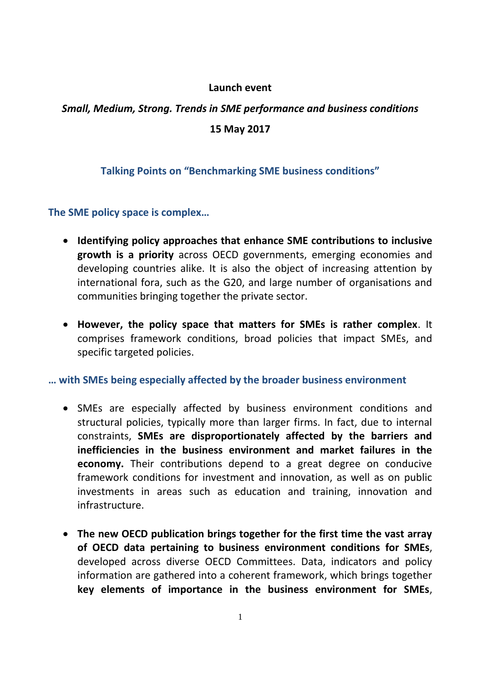#### **Launch event**

# *Small, Medium, Strong. Trends in SME performance and business conditions* **15 May 2017**

## **Talking Points on "Benchmarking SME business conditions"**

**The SME policy space is complex…**

- **Identifying policy approaches that enhance SME contributions to inclusive growth is a priority** across OECD governments, emerging economies and developing countries alike. It is also the object of increasing attention by international fora, such as the G20, and large number of organisations and communities bringing together the private sector.
- **However, the policy space that matters for SMEs is rather complex**. It comprises framework conditions, broad policies that impact SMEs, and specific targeted policies.

#### **… with SMEs being especially affected by the broader business environment**

- SMEs are especially affected by business environment conditions and structural policies, typically more than larger firms. In fact, due to internal constraints, **SMEs are disproportionately affected by the barriers and inefficiencies in the business environment and market failures in the economy.** Their contributions depend to a great degree on conducive framework conditions for investment and innovation, as well as on public investments in areas such as education and training, innovation and infrastructure.
- **The new OECD publication brings together for the first time the vast array of OECD data pertaining to business environment conditions for SMEs**, developed across diverse OECD Committees. Data, indicators and policy information are gathered into a coherent framework, which brings together **key elements of importance in the business environment for SMEs**,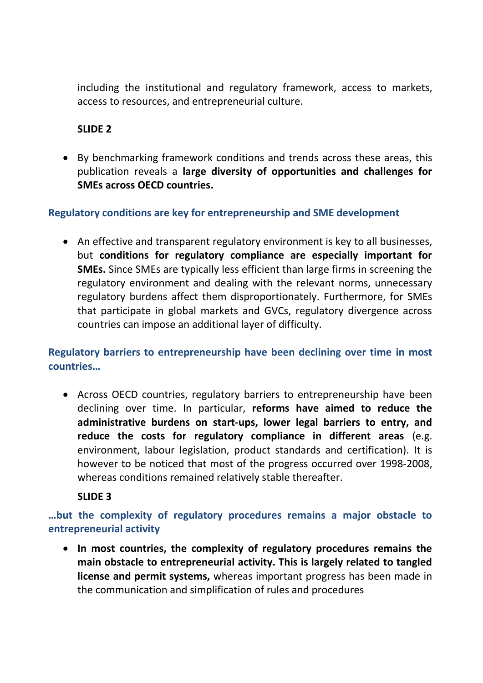including the institutional and regulatory framework, access to markets, access to resources, and entrepreneurial culture.

## **SLIDE 2**

 By benchmarking framework conditions and trends across these areas, this publication reveals a **large diversity of opportunities and challenges for SMEs across OECD countries.**

## **Regulatory conditions are key for entrepreneurship and SME development**

 An effective and transparent regulatory environment is key to all businesses, but **conditions for regulatory compliance are especially important for SMEs.** Since SMEs are typically less efficient than large firms in screening the regulatory environment and dealing with the relevant norms, unnecessary regulatory burdens affect them disproportionately. Furthermore, for SMEs that participate in global markets and GVCs, regulatory divergence across countries can impose an additional layer of difficulty.

**Regulatory barriers to entrepreneurship have been declining over time in most countries…**

 Across OECD countries, regulatory barriers to entrepreneurship have been declining over time. In particular, **reforms have aimed to reduce the administrative burdens on start-ups, lower legal barriers to entry, and reduce the costs for regulatory compliance in different areas** (e.g. environment, labour legislation, product standards and certification). It is however to be noticed that most of the progress occurred over 1998-2008, whereas conditions remained relatively stable thereafter.

**SLIDE 3**

**…but the complexity of regulatory procedures remains a major obstacle to entrepreneurial activity**

 **In most countries, the complexity of regulatory procedures remains the main obstacle to entrepreneurial activity. This is largely related to tangled license and permit systems,** whereas important progress has been made in the communication and simplification of rules and procedures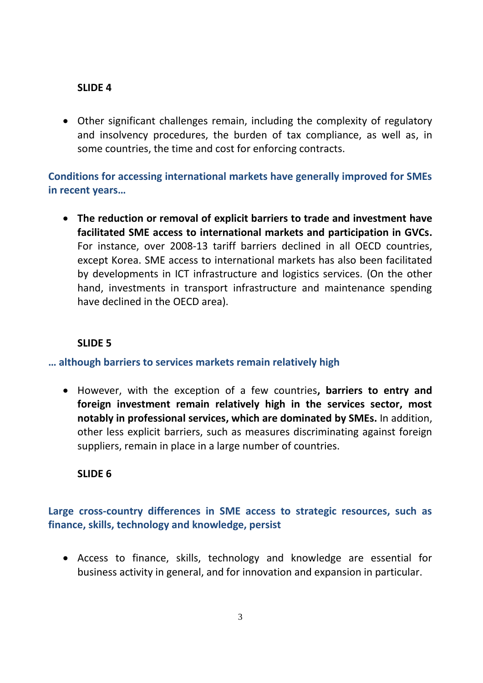## **SLIDE 4**

 Other significant challenges remain, including the complexity of regulatory and insolvency procedures, the burden of tax compliance, as well as, in some countries, the time and cost for enforcing contracts.

**Conditions for accessing international markets have generally improved for SMEs in recent years…**

 **The reduction or removal of explicit barriers to trade and investment have facilitated SME access to international markets and participation in GVCs.** For instance, over 2008-13 tariff barriers declined in all OECD countries, except Korea. SME access to international markets has also been facilitated by developments in ICT infrastructure and logistics services. (On the other hand, investments in transport infrastructure and maintenance spending have declined in the OECD area).

## **SLIDE 5**

**… although barriers to services markets remain relatively high**

 However, with the exception of a few countries**, barriers to entry and foreign investment remain relatively high in the services sector, most notably in professional services, which are dominated by SMEs.** In addition, other less explicit barriers, such as measures discriminating against foreign suppliers, remain in place in a large number of countries.

#### **SLIDE 6**

# **Large cross-country differences in SME access to strategic resources, such as finance, skills, technology and knowledge, persist**

 Access to finance, skills, technology and knowledge are essential for business activity in general, and for innovation and expansion in particular.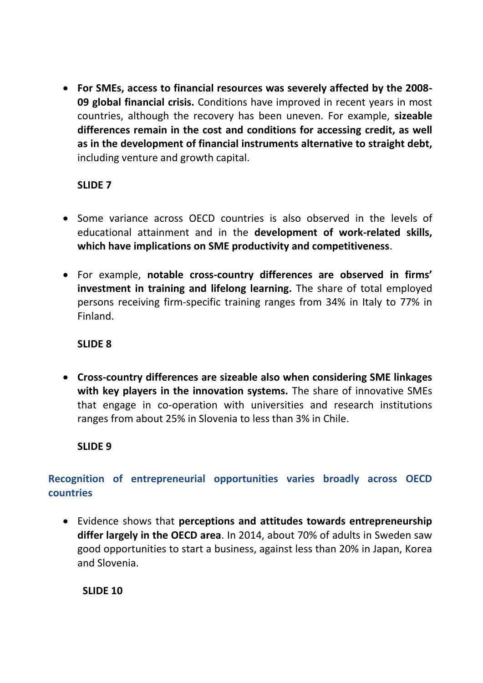**For SMEs, access to financial resources was severely affected by the 2008- 09 global financial crisis.** Conditions have improved in recent years in most countries, although the recovery has been uneven. For example, **sizeable differences remain in the cost and conditions for accessing credit, as well as in the development of financial instruments alternative to straight debt,**  including venture and growth capital.

# **SLIDE 7**

- Some variance across OECD countries is also observed in the levels of educational attainment and in the **development of work-related skills, which have implications on SME productivity and competitiveness**.
- For example, **notable cross-country differences are observed in firms' investment in training and lifelong learning.** The share of total employed persons receiving firm-specific training ranges from 34% in Italy to 77% in Finland.

# **SLIDE 8**

 **Cross-country differences are sizeable also when considering SME linkages with key players in the innovation systems.** The share of innovative SMEs that engage in co-operation with universities and research institutions ranges from about 25% in Slovenia to less than 3% in Chile.

# **SLIDE 9**

# **Recognition of entrepreneurial opportunities varies broadly across OECD countries**

 Evidence shows that **perceptions and attitudes towards entrepreneurship differ largely in the OECD area**. In 2014, about 70% of adults in Sweden saw good opportunities to start a business, against less than 20% in Japan, Korea and Slovenia.

**SLIDE 10**